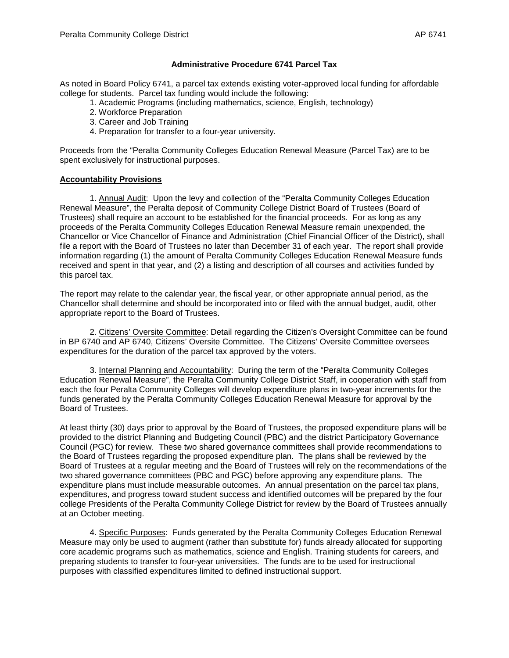## **Administrative Procedure 6741 Parcel Tax**

As noted in Board Policy 6741, a parcel tax extends existing voter-approved local funding for affordable college for students. Parcel tax funding would include the following:

- 1. Academic Programs (including mathematics, science, English, technology)
- 2. Workforce Preparation
- 3. Career and Job Training
- 4. Preparation for transfer to a four-year university.

Proceeds from the "Peralta Community Colleges Education Renewal Measure (Parcel Tax) are to be spent exclusively for instructional purposes.

## **Accountability Provisions**

1. Annual Audit: Upon the levy and collection of the "Peralta Community Colleges Education Renewal Measure", the Peralta deposit of Community College District Board of Trustees (Board of Trustees) shall require an account to be established for the financial proceeds. For as long as any proceeds of the Peralta Community Colleges Education Renewal Measure remain unexpended, the Chancellor or Vice Chancellor of Finance and Administration (Chief Financial Officer of the District), shall file a report with the Board of Trustees no later than December 31 of each year. The report shall provide information regarding (1) the amount of Peralta Community Colleges Education Renewal Measure funds received and spent in that year, and (2) a listing and description of all courses and activities funded by this parcel tax.

The report may relate to the calendar year, the fiscal year, or other appropriate annual period, as the Chancellor shall determine and should be incorporated into or filed with the annual budget, audit, other appropriate report to the Board of Trustees.

2. Citizens' Oversite Committee: Detail regarding the Citizen's Oversight Committee can be found in BP 6740 and AP 6740, Citizens' Oversite Committee. The Citizens' Oversite Committee oversees expenditures for the duration of the parcel tax approved by the voters.

3. Internal Planning and Accountability: During the term of the "Peralta Community Colleges Education Renewal Measure", the Peralta Community College District Staff, in cooperation with staff from each the four Peralta Community Colleges will develop expenditure plans in two-year increments for the funds generated by the Peralta Community Colleges Education Renewal Measure for approval by the Board of Trustees.

At least thirty (30) days prior to approval by the Board of Trustees, the proposed expenditure plans will be provided to the district Planning and Budgeting Council (PBC) and the district Participatory Governance Council (PGC) for review. These two shared governance committees shall provide recommendations to the Board of Trustees regarding the proposed expenditure plan. The plans shall be reviewed by the Board of Trustees at a regular meeting and the Board of Trustees will rely on the recommendations of the two shared governance committees (PBC and PGC) before approving any expenditure plans. The expenditure plans must include measurable outcomes. An annual presentation on the parcel tax plans, expenditures, and progress toward student success and identified outcomes will be prepared by the four college Presidents of the Peralta Community College District for review by the Board of Trustees annually at an October meeting.

4. Specific Purposes: Funds generated by the Peralta Community Colleges Education Renewal Measure may only be used to augment (rather than substitute for) funds already allocated for supporting core academic programs such as mathematics, science and English. Training students for careers, and preparing students to transfer to four-year universities. The funds are to be used for instructional purposes with classified expenditures limited to defined instructional support.